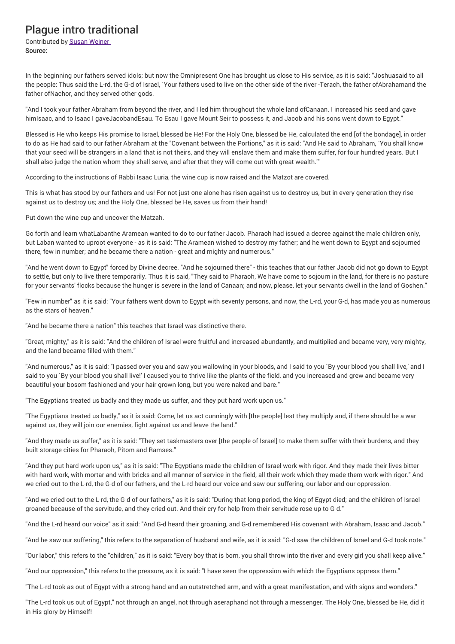## Plague intro traditional

Contributed by Susan Weiner Source:

In the beginning our fathers served idols; but now the Omnipresent One has brought us close to His service, as it is said: "Joshuasaid to all the people: Thus said the L-rd, the G-d of Israel, `Your fathers used to live on the other side of the river -Terach, the father ofAbrahamand the father ofNachor, and they served other gods.

"And I took your father Abraham from beyond the river, and I led him throughout the whole land ofCanaan. I increased his seed and gave himIsaac, and to Isaac I gaveJacobandEsau. To Esau I gave Mount Seir to possess it, and Jacob and his sons went down to Egypt."

Blessed is He who keeps His promise to Israel, blessed be He! For the Holy One, blessed be He, calculated the end [of the bondage], in order to do as He had said to our father Abraham at the "Covenant between the Portions," as it is said: "And He said to Abraham, `You shall know that your seed will be strangers in a land that is not theirs, and they will enslave them and make them suffer, for four hundred years. But I shall also judge the nation whom they shall serve, and after that they will come out with great wealth.'"

According to the instructions of Rabbi Isaac Luria, the wine cup is now raised and the Matzot are covered.

This is what has stood by our fathers and us! For not just one alone has risen against us to destroy us, but in every generation they rise against us to destroy us; and the Holy One, blessed be He, saves us from their hand!

Put down the wine cup and uncover the Matzah.

Go forth and learn whatLabanthe Aramean wanted to do to our father Jacob. Pharaoh had issued a decree against the male children only, but Laban wanted to uproot everyone - as it is said: "The Aramean wished to destroy my father; and he went down to Egypt and sojourned there, few in number; and he became there a nation - great and mighty and numerous."

"And he went down to Egypt" forced by Divine decree. "And he sojourned there" - this teaches that our father Jacob did not go down to Egypt to settle, but only to live there temporarily. Thus it is said, "They said to Pharaoh, We have come to sojourn in the land, for there is no pasture for your servants' flocks because the hunger is severe in the land of Canaan; and now, please, let your servants dwell in the land of Goshen."

"Few in number" as it is said: "Your fathers went down to Egypt with seventy persons, and now, the L-rd, your G-d, has made you as numerous as the stars of heaven."

"And he became there a nation" this teaches that Israel was distinctive there.

"Great, mighty," as it is said: "And the children of Israel were fruitful and increased abundantly, and multiplied and became very, very mighty, and the land became filled with them."

"And numerous," as it is said: "I passed over you and saw you wallowing in your bloods, and I said to you `By your blood you shall live,' and I said to you `By your blood you shall live!' I caused you to thrive like the plants of the field, and you increased and grew and became very beautiful your bosom fashioned and your hair grown long, but you were naked and bare."

"The Egyptians treated us badly and they made us suffer, and they put hard work upon us."

"The Egyptians treated us badly," as it is said: Come, let us act cunningly with [the people] lest they multiply and, if there should be a war against us, they will join our enemies, fight against us and leave the land."

"And they made us suffer," as it is said: "They set taskmasters over [the people of Israel] to make them suffer with their burdens, and they built storage cities for Pharaoh, Pitom and Ramses."

"And they put hard work upon us," as it is said: "The Egyptians made the children of Israel work with rigor. And they made their lives bitter with hard work, with mortar and with bricks and all manner of service in the field, all their work which they made them work with rigor." And we cried out to the L-rd, the G-d of our fathers, and the L-rd heard our voice and saw our suffering, our labor and our oppression.

"And we cried out to the L-rd, the G-d of our fathers," as it is said: "During that long period, the king of Egypt died; and the children of Israel groaned because of the servitude, and they cried out. And their cry for help from their servitude rose up to G-d."

"And the L-rd heard our voice" as it said: "And G-d heard their groaning, and G-d remembered His covenant with Abraham, Isaac and Jacob."

"And he saw our suffering," this refers to the separation of husband and wife, as it is said: "G-d saw the children of Israel and G-d took note."

"Our labor," this refers to the "children," as it is said: "Every boy that is born, you shall throw into the river and every girl you shall keep alive."

"And our oppression," this refers to the pressure, as it is said: "I have seen the oppression with which the Egyptians oppress them."

"The L-rd took as out of Egypt with a strong hand and an outstretched arm, and with a great manifestation, and with signs and wonders."

"The L-rd took us out of Egypt," not through an angel, not through aseraphand not through a messenger. The Holy One, blessed be He, did it in His glory by Himself!